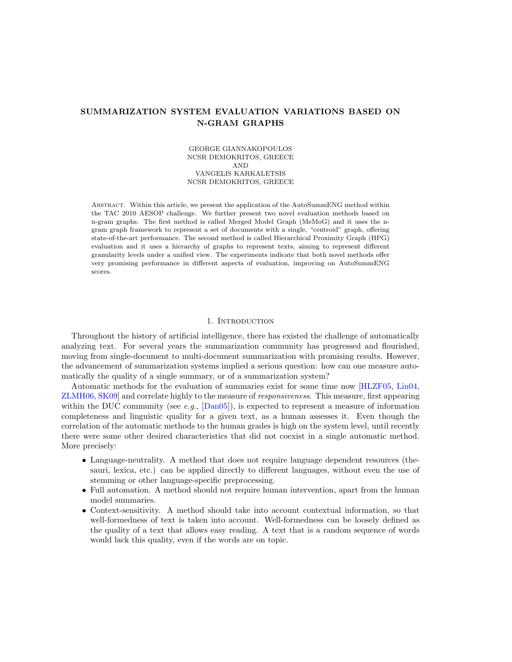# SUMMARIZATION SYSTEM EVALUATION VARIATIONS BASED ON N-GRAM GRAPHS

## GEORGE GIANNAKOPOULOS NCSR DEMOKRITOS, GREECE AND VANGELIS KARKALETSIS NCSR DEMOKRITOS, GREECE

Abstract. Within this article, we present the application of the AutoSummENG method within the TAC 2010 AESOP challenge. We further present two novel evaluation methods based on n-gram graphs. The first method is called Merged Model Graph (MeMoG) and it uses the ngram graph framework to represent a set of documents with a single, "centroid" graph, offering state-of-the-art performance. The second method is called Hierarchical Proximity Graph (HPG) evaluation and it uses a hierarchy of graphs to represent texts, aiming to represent different granularity levels under a unified view. The experiments indicate that both novel methods offer very promising performance in different aspects of evaluation, improving on AutoSummENG scores.

### 1. INTRODUCTION

Throughout the history of artificial intelligence, there has existed the challenge of automatically analyzing text. For several years the summarization community has progressed and flourished, moving from single-document to multi-document summarization with promising results. However, the advancement of summarization systems implied a serious question: how can one measure automatically the quality of a single summary, or of a summarization system?

Automatic methods for the evaluation of summaries exist for some time now [\[HLZF05,](#page-10-0) [Lin04,](#page-10-1) [ZLMH06,](#page-11-0) [SK09\]](#page-11-1) and correlate highly to the measure of responsiveness. This measure, first appearing within the DUC community (see e.g.,  $\text{[Dan05]}$  $\text{[Dan05]}$  $\text{[Dan05]}$ ), is expected to represent a measure of information completeness and linguistic quality for a given text, as a human assesses it. Even though the correlation of the automatic methods to the human grades is high on the system level, until recently there were some other desired characteristics that did not coexist in a single automatic method. More precisely:

- Language-neutrality. A method that does not require language dependent resources (thesauri, lexica, etc.) can be applied directly to different languages, without even the use of stemming or other language-specific preprocessing.
- Full automation. A method should not require human intervention, apart from the human model summaries.
- Context-sensitivity. A method should take into account contextual information, so that well-formedness of text is taken into account. Well-formedness can be loosely defined as the quality of a text that allows easy reading. A text that is a random sequence of words would lack this quality, even if the words are on topic.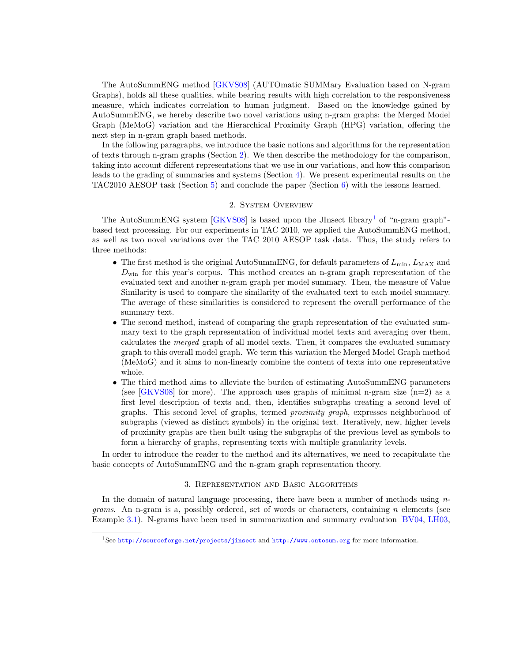The AutoSummENG method [\[GKVS08\]](#page-10-3) (AUTOmatic SUMMary Evaluation based on N-gram Graphs), holds all these qualities, while bearing results with high correlation to the responsiveness measure, which indicates correlation to human judgment. Based on the knowledge gained by AutoSummENG, we hereby describe two novel variations using n-gram graphs: the Merged Model Graph (MeMoG) variation and the Hierarchical Proximity Graph (HPG) variation, offering the next step in n-gram graph based methods.

In the following paragraphs, we introduce the basic notions and algorithms for the representation of texts through n-gram graphs (Section [2\)](#page-1-0). We then describe the methodology for the comparison, taking into account different representations that we use in our variations, and how this comparison leads to the grading of summaries and systems (Section [4\)](#page-5-0). We present experimental results on the TAC2010 AESOP task (Section [5\)](#page-7-0) and conclude the paper (Section [6\)](#page-9-0) with the lessons learned.

#### 2. System Overview

<span id="page-1-0"></span>The AutoSummENG system  $|GKVS08|$  is based upon the JInsect library<sup>[1](#page-1-1)</sup> of "n-gram graph"based text processing. For our experiments in TAC 2010, we applied the AutoSummENG method, as well as two novel variations over the TAC 2010 AESOP task data. Thus, the study refers to three methods:

- The first method is the original AutoSummENG, for default parameters of  $L_{\text{min}}$ ,  $L_{\text{MAX}}$  and  $D_{\text{win}}$  for this year's corpus. This method creates an n-gram graph representation of the evaluated text and another n-gram graph per model summary. Then, the measure of Value Similarity is used to compare the similarity of the evaluated text to each model summary. The average of these similarities is considered to represent the overall performance of the summary text.
- The second method, instead of comparing the graph representation of the evaluated summary text to the graph representation of individual model texts and averaging over them, calculates the merged graph of all model texts. Then, it compares the evaluated summary graph to this overall model graph. We term this variation the Merged Model Graph method (MeMoG) and it aims to non-linearly combine the content of texts into one representative whole.
- The third method aims to alleviate the burden of estimating AutoSummENG parameters (see  $\left[\frac{\text{GKVS08}}{\text{for more}}\right]$ . The approach uses graphs of minimal n-gram size  $(n=2)$  as a first level description of texts and, then, identifies subgraphs creating a second level of graphs. This second level of graphs, termed proximity graph, expresses neighborhood of subgraphs (viewed as distinct symbols) in the original text. Iteratively, new, higher levels of proximity graphs are then built using the subgraphs of the previous level as symbols to form a hierarchy of graphs, representing texts with multiple granularity levels.

In order to introduce the reader to the method and its alternatives, we need to recapitulate the basic concepts of AutoSummENG and the n-gram graph representation theory.

### 3. Representation and Basic Algorithms

In the domain of natural language processing, there have been a number of methods using  $n$ *grams.* An n-gram is a, possibly ordered, set of words or characters, containing n elements (see Example [3.1\)](#page-2-0). N-grams have been used in summarization and summary evaluation [\[BV04,](#page-10-4) [LH03,](#page-10-5)

<span id="page-1-1"></span><sup>1</sup>See <http://sourceforge.net/projects/jinsect> and <http://www.ontosum.org> for more information.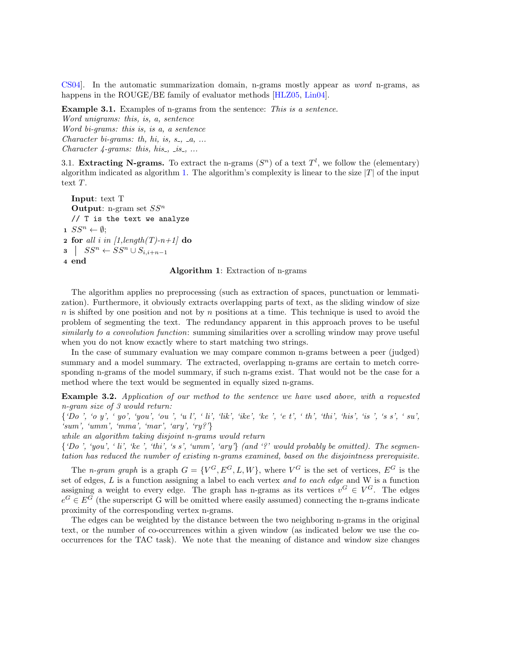[CS04\]](#page-10-6). In the automatic summarization domain, n-grams mostly appear as word n-grams, as happens in the ROUGE/BE family of evaluator methods [\[HLZ05,](#page-10-7) [Lin04\]](#page-10-1).

<span id="page-2-0"></span>Example 3.1. Examples of n-grams from the sentence: This is a sentence.

Word unigrams: this, is, a, sentence Word bi-grams: this is, is a, a sentence Character bi-grams: th, hi, is,  $s_-, a_+, \ldots$ Character  $\text{\textless}$  4-grams: this, his., is., ...

3.1. Extracting N-grams. To extract the n-grams  $(S<sup>n</sup>)$  of a text  $T<sup>l</sup>$ , we follow the (elementary) algorithm indicated as algorithm [1.](#page-2-1) The algorithm's complexity is linear to the size  $|T|$  of the input text T.

<span id="page-2-1"></span>Input: text T **Output:** n-gram set  $SS<sup>n</sup>$ // T is the text we analyze  $1 \text{ } SS^n \leftarrow \emptyset;$ 2 for all i in  $\left[1$ , length $(T)$ -n+1 $\right]$  do  $s \mid SS^n \leftarrow SS^n \cup S_{i,i+n-1}$ 4 end

## Algorithm 1: Extraction of n-grams

The algorithm applies no preprocessing (such as extraction of spaces, punctuation or lemmatization). Furthermore, it obviously extracts overlapping parts of text, as the sliding window of size  $n$  is shifted by one position and not by  $n$  positions at a time. This technique is used to avoid the problem of segmenting the text. The redundancy apparent in this approach proves to be useful similarly to a convolution function: summing similarities over a scrolling window may prove useful when you do not know exactly where to start matching two strings.

In the case of summary evaluation we may compare common n-grams between a peer (judged) summary and a model summary. The extracted, overlapping n-grams are certain to metch corresponding n-grams of the model summary, if such n-grams exist. That would not be the case for a method where the text would be segmented in equally sized n-grams.

Example 3.2. Application of our method to the sentence we have used above, with a requested n-gram size of 3 would return:

{'Do ', 'o y', ' yo', 'you', 'ou ', 'u l', ' li', 'lik', 'ike', 'ke ', 'e t', ' th', 'thi', 'his', 'is ', 's s', ' su', 'sum', 'umm', 'mma', 'mar', 'ary', 'ry?'}

while an algorithm taking disjoint n-grams would return

 $\{D\mathbf{o}'$ , 'you', ' li', 'ke', 'thi', 's s', 'umm', 'ary'} (and '?' would probably be omitted). The segmentation has reduced the number of existing n-grams examined, based on the disjointness prerequisite.

The *n*-gram graph is a graph  $G = \{V^G, E^G, L, W\}$ , where  $V^G$  is the set of vertices,  $E^G$  is the set of edges, L is a function assigning a label to each vertex and to each edge and W is a function assigning a weight to every edge. The graph has n-grams as its vertices  $v^G \in V^G$ . The edges  $e^G \in E^G$  (the superscript G will be omitted where easily assumed) connecting the n-grams indicate proximity of the corresponding vertex n-grams.

The edges can be weighted by the distance between the two neighboring n-grams in the original text, or the number of co-occurrences within a given window (as indicated below we use the cooccurrences for the TAC task). We note that the meaning of distance and window size changes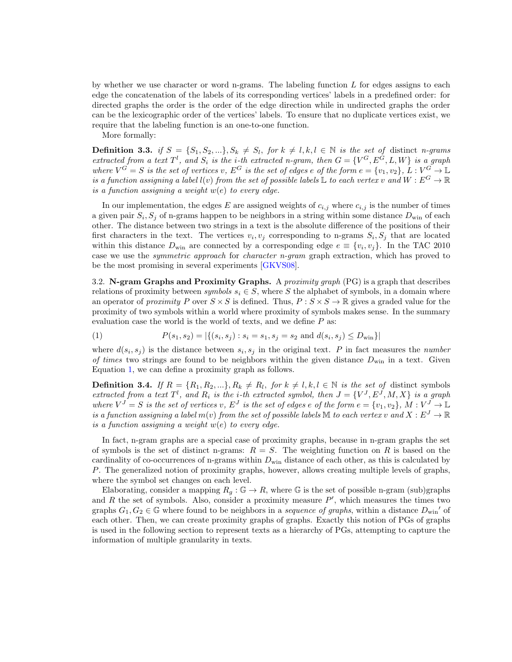by whether we use character or word n-grams. The labeling function  $L$  for edges assigns to each edge the concatenation of the labels of its corresponding vertices' labels in a predefined order: for directed graphs the order is the order of the edge direction while in undirected graphs the order can be the lexicographic order of the vertices' labels. To ensure that no duplicate vertices exist, we require that the labeling function is an one-to-one function.

More formally:

**Definition 3.3.** if  $S = \{S_1, S_2, ...\}$ ,  $S_k \neq S_l$ , for  $k \neq l, k, l \in \mathbb{N}$  is the set of distinct n-grams extracted from a text  $T^l$ , and  $S_i$  is the *i*-th extracted n-gram, then  $G = \{V^G, E^G, L, W\}$  is a graph where  $V^G = S$  is the set of vertices v,  $E^G$  is the set of edges e of the form  $e = \{v_1, v_2\}$ ,  $L : V^G \to \mathbb{L}$ is a function assigning a label  $l(v)$  from the set of possible labels  $\mathbb L$  to each vertex v and  $W : E^G \to \mathbb R$ is a function assigning a weight  $w(e)$  to every edge.

In our implementation, the edges E are assigned weights of  $c_{i,j}$  where  $c_{i,j}$  is the number of times a given pair  $S_i$ ,  $S_j$  of n-grams happen to be neighbors in a string within some distance  $D_{\text{win}}$  of each other. The distance between two strings in a text is the absolute difference of the positions of their first characters in the text. The vertices  $v_i, v_j$  corresponding to n-grams  $S_i, S_j$  that are located within this distance  $D_{\text{win}}$  are connected by a corresponding edge  $e \equiv \{v_i, v_j\}$ . In the TAC 2010 case we use the *symmetric approach* for *character n-gram* graph extraction, which has proved to be the most promising in several experiments [\[GKVS08\]](#page-10-3).

3.2. N-gram Graphs and Proximity Graphs. A *proximity graph*  $(PG)$  is a graph that describes relations of proximity between symbols  $s_i \in S$ , where S the alphabet of symbols, in a domain where an operator of proximity P over  $S \times S$  is defined. Thus,  $P : S \times S \rightarrow \mathbb{R}$  gives a graded value for the proximity of two symbols within a world where proximity of symbols makes sense. In the summary evaluation case the world is the world of texts, and we define  $P$  as:

<span id="page-3-0"></span>(1) 
$$
P(s_1, s_2) = |\{(s_i, s_j) : s_i = s_1, s_j = s_2 \text{ and } d(s_i, s_j) \le D_{\text{win}}\}|
$$

where  $d(s_i, s_j)$  is the distance between  $s_i, s_j$  in the original text. P in fact measures the *number* of times two strings are found to be neighbors within the given distance  $D_{\text{win}}$  in a text. Given Equation [1,](#page-3-0) we can define a proximity graph as follows.

**Definition 3.4.** If  $R = \{R_1, R_2, ...\}$ ,  $R_k \neq R_l$ , for  $k \neq l, k, l \in \mathbb{N}$  is the set of distinct symbols extracted from a text  $T^l$ , and  $R_i$  is the *i*-th extracted symbol, then  $J = \{V^J, E^J, M, X\}$  is a graph where  $V^J = S$  is the set of vertices v,  $E^J$  is the set of edges e of the form  $e = \{v_1, v_2\}$ ,  $M : V^J \to \mathbb{L}$ is a function assigning a label  $m(v)$  from the set of possible labels M to each vertex v and  $X : E^J \to \mathbb{R}$ is a function assigning a weight  $w(e)$  to every edge.

In fact, n-gram graphs are a special case of proximity graphs, because in n-gram graphs the set of symbols is the set of distinct n-grams:  $R = S$ . The weighting function on R is based on the cardinality of co-occurrences of n-grams within  $D_{\text{win}}$  distance of each other, as this is calculated by P. The generalized notion of proximity graphs, however, allows creating multiple levels of graphs, where the symbol set changes on each level.

Elaborating, consider a mapping  $R_g : \mathbb{G} \to R$ , where  $\mathbb{G}$  is the set of possible n-gram (sub)graphs and R the set of symbols. Also, consider a proximity measure  $P'$ , which measures the times two graphs  $G_1, G_2 \in \mathbb{G}$  where found to be neighbors in a *sequence of graphs*, within a distance  $D_{win}$ ' of each other. Then, we can create proximity graphs of graphs. Exactly this notion of PGs of graphs is used in the following section to represent texts as a hierarchy of PGs, attempting to capture the information of multiple granularity in texts.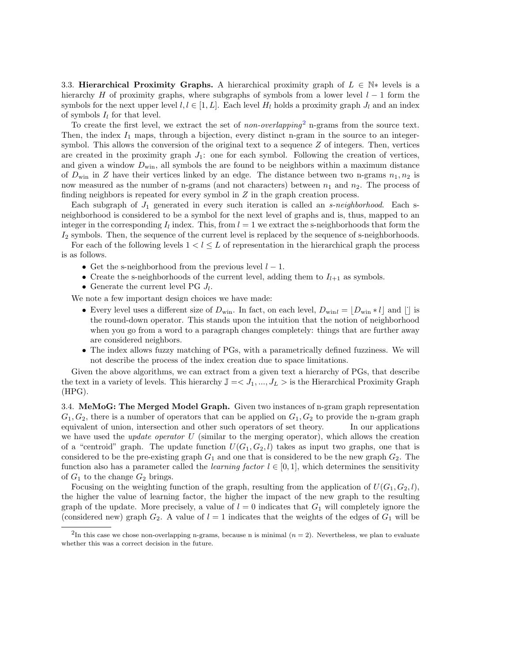3.3. Hierarchical Proximity Graphs. A hierarchical proximity graph of  $L \in \mathbb{N}^*$  levels is a hierarchy H of proximity graphs, where subgraphs of symbols from a lower level  $l - 1$  form the symbols for the next upper level  $l, l \in [1, L]$ . Each level  $H_l$  holds a proximity graph  $J_l$  and an index of symbols  $I_l$  for that level.

To create the first level, we extract the set of non-overlapping<sup>[2](#page-4-0)</sup> n-grams from the source text. Then, the index  $I_1$  maps, through a bijection, every distinct n-gram in the source to an integersymbol. This allows the conversion of the original text to a sequence  $Z$  of integers. Then, vertices are created in the proximity graph  $J_1$ : one for each symbol. Following the creation of vertices, and given a window  $D_{\text{win}}$ , all symbols the are found to be neighbors within a maximum distance of  $D_{\text{win}}$  in Z have their vertices linked by an edge. The distance between two n-grams  $n_1, n_2$  is now measured as the number of n-grams (and not characters) between  $n_1$  and  $n_2$ . The process of finding neighbors is repeated for every symbol in  $Z$  in the graph creation process.

Each subgraph of  $J_1$  generated in every such iteration is called an *s-neighborhood*. Each sneighborhood is considered to be a symbol for the next level of graphs and is, thus, mapped to an integer in the corresponding  $I_l$  index. This, from  $l = 1$  we extract the s-neighborhoods that form the  $I_2$  symbols. Then, the sequence of the current level is replaced by the sequence of s-neighborhoods.

For each of the following levels  $1 < l \leq L$  of representation in the hierarchical graph the process is as follows.

- Get the s-neighborhood from the previous level  $l-1$ .
- Create the s-neighborhoods of the current level, adding them to  $I_{l+1}$  as symbols.
- Generate the current level PG  $J_l$ .

We note a few important design choices we have made:

- Every level uses a different size of  $D_{\text{win}}$ . In fact, on each level,  $D_{\text{win}} = |D_{\text{win}} * l|$  and || is the round-down operator. This stands upon the intuition that the notion of neighborhood when you go from a word to a paragraph changes completely: things that are further away are considered neighbors.
- The index allows fuzzy matching of PGs, with a parametrically defined fuzziness. We will not describe the process of the index creation due to space limitations.

Given the above algorithms, we can extract from a given text a hierarchy of PGs, that describe the text in a variety of levels. This hierarchy  $\mathbb{J} = \langle J_1, ..., J_L \rangle$  is the Hierarchical Proximity Graph (HPG).

3.4. MeMoG: The Merged Model Graph. Given two instances of n-gram graph representation  $G_1, G_2$ , there is a number of operators that can be applied on  $G_1, G_2$  to provide the n-gram graph equivalent of union, intersection and other such operators of set theory. In our applications we have used the *update operator*  $U$  (similar to the merging operator), which allows the creation of a "centroid" graph. The update function  $U(G_1, G_2, l)$  takes as input two graphs, one that is considered to be the pre-existing graph  $G_1$  and one that is considered to be the new graph  $G_2$ . The function also has a parameter called the *learning factor*  $l \in [0, 1]$ , which determines the sensitivity of  $G_1$  to the change  $G_2$  brings.

Focusing on the weighting function of the graph, resulting from the application of  $U(G_1, G_2, l)$ , the higher the value of learning factor, the higher the impact of the new graph to the resulting graph of the update. More precisely, a value of  $l = 0$  indicates that  $G_1$  will completely ignore the (considered new) graph  $G_2$ . A value of  $l = 1$  indicates that the weights of the edges of  $G_1$  will be

<span id="page-4-0"></span><sup>&</sup>lt;sup>2</sup>In this case we chose non-overlapping n-grams, because n is minimal  $(n = 2)$ . Nevertheless, we plan to evaluate whether this was a correct decision in the future.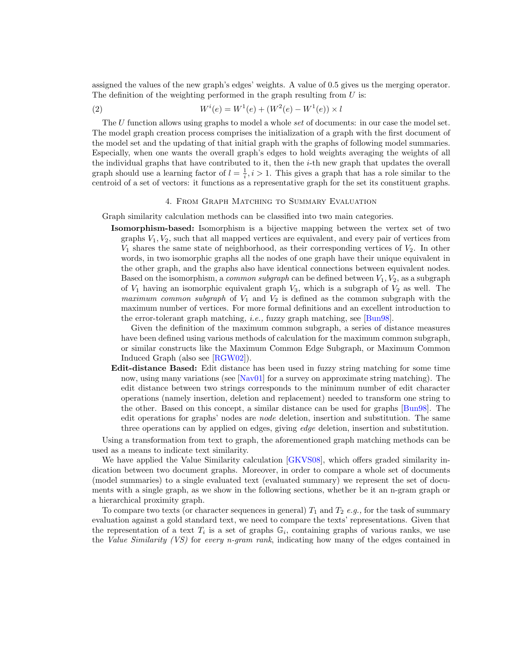assigned the values of the new graph's edges' weights. A value of 0.5 gives us the merging operator. The definition of the weighting performed in the graph resulting from  $U$  is:

(2) 
$$
W^{i}(e) = W^{1}(e) + (W^{2}(e) - W^{1}(e)) \times l
$$

The  $U$  function allows using graphs to model a whole set of documents: in our case the model set. The model graph creation process comprises the initialization of a graph with the first document of the model set and the updating of that initial graph with the graphs of following model summaries. Especially, when one wants the overall graph's edges to hold weights averaging the weights of all the individual graphs that have contributed to it, then the  $i$ -th new graph that updates the overall graph should use a learning factor of  $l = \frac{1}{i}$ ,  $i > 1$ . This gives a graph that has a role similar to the centroid of a set of vectors: it functions as a representative graph for the set its constituent graphs.

## 4. From Graph Matching to Summary Evaluation

<span id="page-5-0"></span>Graph similarity calculation methods can be classified into two main categories.

Isomorphism-based: Isomorphism is a bijective mapping between the vertex set of two graphs  $V_1, V_2$ , such that all mapped vertices are equivalent, and every pair of vertices from  $V_1$  shares the same state of neighborhood, as their corresponding vertices of  $V_2$ . In other words, in two isomorphic graphs all the nodes of one graph have their unique equivalent in the other graph, and the graphs also have identical connections between equivalent nodes. Based on the isomorphism, a *common subgraph* can be defined between  $V_1, V_2$ , as a subgraph of  $V_1$  having an isomorphic equivalent graph  $V_3$ , which is a subgraph of  $V_2$  as well. The maximum common subgraph of  $V_1$  and  $V_2$  is defined as the common subgraph with the maximum number of vertices. For more formal definitions and an excellent introduction to the error-tolerant graph matching, i.e., fuzzy graph matching, see [\[Bun98\]](#page-10-8).

Given the definition of the maximum common subgraph, a series of distance measures have been defined using various methods of calculation for the maximum common subgraph, or similar constructs like the Maximum Common Edge Subgraph, or Maximum Common Induced Graph (also see [\[RGW02\]](#page-10-9)).

Edit-distance Based: Edit distance has been used in fuzzy string matching for some time now, using many variations (see [\[Nav01\]](#page-10-10) for a survey on approximate string matching). The edit distance between two strings corresponds to the minimum number of edit character operations (namely insertion, deletion and replacement) needed to transform one string to the other. Based on this concept, a similar distance can be used for graphs [\[Bun98\]](#page-10-8). The edit operations for graphs' nodes are node deletion, insertion and substitution. The same three operations can by applied on edges, giving edge deletion, insertion and substitution.

Using a transformation from text to graph, the aforementioned graph matching methods can be used as a means to indicate text similarity.

We have applied the Value Similarity calculation [\[GKVS08\]](#page-10-3), which offers graded similarity indication between two document graphs. Moreover, in order to compare a whole set of documents (model summaries) to a single evaluated text (evaluated summary) we represent the set of documents with a single graph, as we show in the following sections, whether be it an n-gram graph or a hierarchical proximity graph.

To compare two texts (or character sequences in general)  $T_1$  and  $T_2$  e.g., for the task of summary evaluation against a gold standard text, we need to compare the texts' representations. Given that the representation of a text  $T_i$  is a set of graphs  $\mathbb{G}_i$ , containing graphs of various ranks, we use the Value Similarity (VS) for every n-gram rank, indicating how many of the edges contained in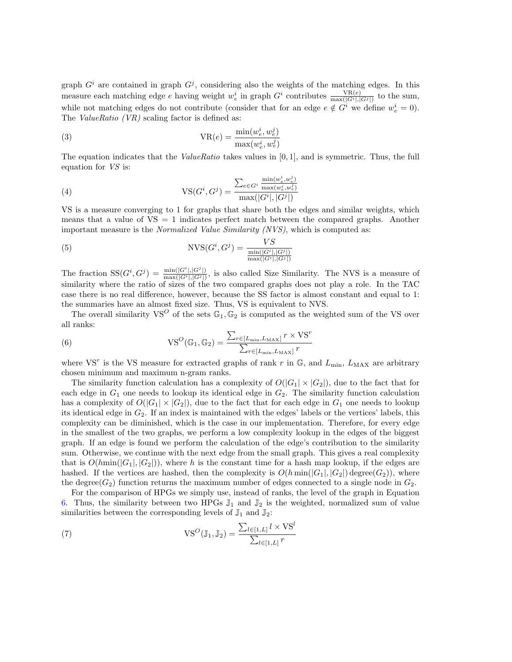graph  $G^i$  are contained in graph  $G^j$ , considering also the weights of the matching edges. In this measure each matching edge e having weight  $w_e^i$  in graph  $G^i$  contributes  $\frac{\text{VR}(e)}{\max(|G^i|, |G^j|)}$  to the sum, while not matching edges do not contribute (consider that for an edge  $e \notin G^i$  we define  $w_e^i = 0$ ). The *ValueRatio*  $(VR)$  scaling factor is defined as:

(3) 
$$
VR(e) = \frac{\min(w_e^i, w_e^j)}{\max(w_e^i, w_e^j)}
$$

The equation indicates that the *ValueRatio* takes values in  $[0, 1]$ , and is symmetric. Thus, the full equation for VS is:

(4) 
$$
VS(G^{i}, G^{j}) = \frac{\sum_{e \in G^{i}} \frac{\min(w_e^{i}, w_e^{j})}{\max(w_e^{i}, w_e^{j})}}{\max(|G^{i}|, |G^{j}|)}
$$

VS is a measure converging to 1 for graphs that share both the edges and similar weights, which means that a value of  $VS = 1$  indicates perfect match between the compared graphs. Another important measure is the Normalized Value Similarity (NVS), which is computed as:

(5) 
$$
NVS(G^i, G^j) = \frac{VS}{\frac{\min(|G^i|, |G^j|)}{\max(|G^i|, |G^j|)}}
$$

The fraction  $SS(G^i, G^j) = \frac{\min(|G^i|, |G^j|)}{\max(|G^i|, |G^j|)}$ , is also called Size Similarity. The NVS is a measure of similarity where the ratio of sizes of the two compared graphs does not play a role. In the TAC case there is no real difference, however, because the SS factor is almost constant and equal to 1: the summaries have an almost fixed size. Thus, VS is equivalent to NVS.

The overall similarity  $VS^{\mathcal{O}}$  of the sets  $\mathbb{G}_1, \mathbb{G}_2$  is computed as the weighted sum of the VS over all ranks:

<span id="page-6-0"></span>(6) 
$$
VS^{O}(\mathbb{G}_{1}, \mathbb{G}_{2}) = \frac{\sum_{r \in [L_{\min}, L_{\max}]} r \times VS^{r}}{\sum_{r \in [L_{\min}, L_{\max}]} r}
$$

where VS<sup>r</sup> is the VS measure for extracted graphs of rank r in  $\mathbb{G}$ , and  $L_{\min}$ ,  $L_{\text{MAX}}$  are arbitrary chosen minimum and maximum n-gram ranks.

The similarity function calculation has a complexity of  $O(|G_1| \times |G_2|)$ , due to the fact that for each edge in  $G_1$  one needs to lookup its identical edge in  $G_2$ . The similarity function calculation has a complexity of  $O(|G_1| \times |G_2|)$ , due to the fact that for each edge in  $G_1$  one needs to lookup its identical edge in  $G_2$ . If an index is maintained with the edges' labels or the vertices' labels, this complexity can be diminished, which is the case in our implementation. Therefore, for every edge in the smallest of the two graphs, we perform a low complexity lookup in the edges of the biggest graph. If an edge is found we perform the calculation of the edge's contribution to the similarity sum. Otherwise, we continue with the next edge from the small graph. This gives a real complexity that is  $O(hmin(|G_1|, |G_2|))$ , where h is the constant time for a hash map lookup, if the edges are hashed. If the vertices are hashed, then the complexity is  $O(h \min(|G_1|, |G_2|)$  degree $(G_2)$ ), where the degree( $G_2$ ) function returns the maximum number of edges connected to a single node in  $G_2$ .

For the comparison of HPGs we simply use, instead of ranks, the level of the graph in Equation [6.](#page-6-0) Thus, the similarity between two HPGs  $\mathbb{J}_1$  and  $\mathbb{J}_2$  is the weighted, normalized sum of value similarities between the corresponding levels of  $\mathbb{J}_1$  and  $\mathbb{J}_2$ :

(7) 
$$
VS^{O}(\mathbb{J}_{1}, \mathbb{J}_{2}) = \frac{\sum_{l \in [1, L]} l \times VS^{l}}{\sum_{l \in [1, L]} r}
$$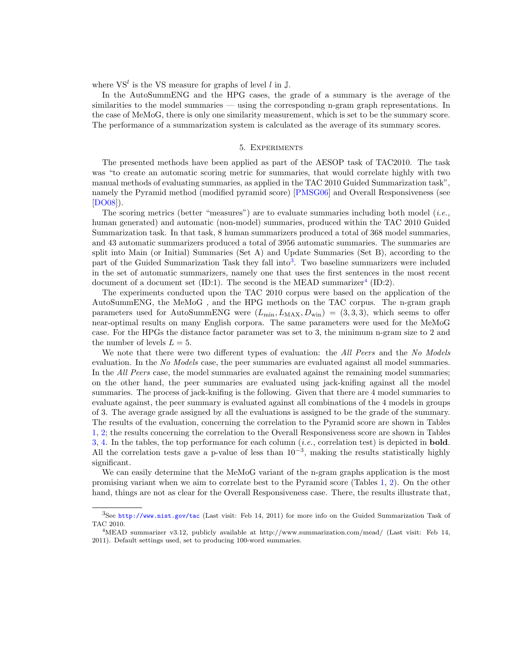where  $VS<sup>l</sup>$  is the VS measure for graphs of level l in  $\mathbb{J}$ .

In the AutoSummENG and the HPG cases, the grade of a summary is the average of the similarities to the model summaries — using the corresponding n-gram graph representations. In the case of MeMoG, there is only one similarity measurement, which is set to be the summary score. The performance of a summarization system is calculated as the average of its summary scores.

## 5. Experiments

<span id="page-7-0"></span>The presented methods have been applied as part of the AESOP task of TAC2010. The task was "to create an automatic scoring metric for summaries, that would correlate highly with two manual methods of evaluating summaries, as applied in the TAC 2010 Guided Summarization task", namely the Pyramid method (modified pyramid score) [\[PMSG06\]](#page-10-11) and Overall Responsiveness (see [\[DO08\]](#page-10-12)).

The scoring metrics (better "measures") are to evaluate summaries including both model (*i.e.*, human generated) and automatic (non-model) summaries, produced within the TAC 2010 Guided Summarization task. In that task, 8 human summarizers produced a total of 368 model summaries, and 43 automatic summarizers produced a total of 3956 automatic summaries. The summaries are split into Main (or Initial) Summaries (Set A) and Update Summaries (Set B), according to the part of the Guided Summarization Task they fall into<sup>[3](#page-7-1)</sup>. Two baseline summarizers were included in the set of automatic summarizers, namely one that uses the first sentences in the most recent document of a document set (ID:1). The second is the MEAD summarizer<sup>[4](#page-7-2)</sup> (ID:2).

The experiments conducted upon the TAC 2010 corpus were based on the application of the AutoSummENG, the MeMoG , and the HPG methods on the TAC corpus. The n-gram graph parameters used for AutoSummENG were  $(L_{\min}, L_{\text{MAX}}, D_{\text{win}}) = (3, 3, 3)$ , which seems to offer near-optimal results on many English corpora. The same parameters were used for the MeMoG case. For the HPGs the distance factor parameter was set to 3, the minimum n-gram size to 2 and the number of levels  $L = 5$ .

We note that there were two different types of evaluation: the All Peers and the No Models evaluation. In the No Models case, the peer summaries are evaluated against all model summaries. In the *All Peers* case, the model summaries are evaluated against the remaining model summaries; on the other hand, the peer summaries are evaluated using jack-knifing against all the model summaries. The process of jack-knifing is the following. Given that there are 4 model summaries to evaluate against, the peer summary is evaluated against all combinations of the 4 models in groups of 3. The average grade assigned by all the evaluations is assigned to be the grade of the summary. The results of the evaluation, concerning the correlation to the Pyramid score are shown in Tables [1,](#page-8-0) [2;](#page-8-1) the results concerning the correlation to the Overall Responsiveness score are shown in Tables [3,](#page-8-2) [4.](#page-9-1) In the tables, the top performance for each column (*i.e.*, correlation test) is depicted in **bold**. All the correlation tests gave a p-value of less than  $10^{-3}$ , making the results statistically highly significant.

We can easily determine that the MeMoG variant of the n-gram graphs application is the most promising variant when we aim to correlate best to the Pyramid score (Tables [1,](#page-8-0) [2\)](#page-8-1). On the other hand, things are not as clear for the Overall Responsiveness case. There, the results illustrate that,

<span id="page-7-1"></span><sup>3</sup>See <http://www.nist.gov/tac> (Last visit: Feb 14, 2011) for more info on the Guided Summarization Task of TAC 2010.

<span id="page-7-2"></span><sup>4</sup>MEAD summarizer v3.12, publicly available at http://www.summarization.com/mead/ (Last visit: Feb 14, 2011). Default settings used, set to producing 100-word summaries.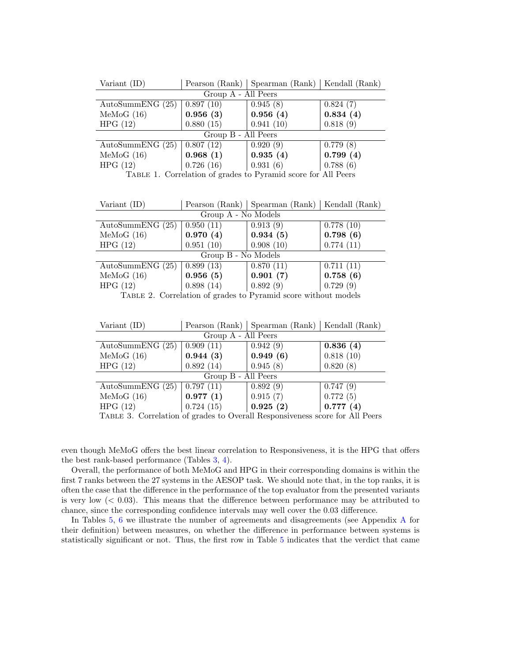| Variant (ID)                                                |           | Pearson (Rank)   Spearman (Rank)   Kendall (Rank) |          |  |
|-------------------------------------------------------------|-----------|---------------------------------------------------|----------|--|
| Group A - All Peers                                         |           |                                                   |          |  |
| AutoSummENG $(25)$                                          | 0.897(10) | 0.945(8)                                          | 0.824(7) |  |
| MeMoG (16)                                                  | 0.956(3)  | 0.956(4)                                          | 0.834(4) |  |
| HPG(12)                                                     | 0.880(15) | 0.941(10)                                         | 0.818(9) |  |
| Group B - All Peers                                         |           |                                                   |          |  |
| AutoSummENG $(25)$                                          | 0.807(12) | 0.920(9)                                          | 0.779(8) |  |
| MeMoG (16)                                                  | 0.968(1)  | 0.935(4)                                          | 0.799(4) |  |
| HPG(12)                                                     | 0.726(16) | 0.931(6)                                          | 0.788(6) |  |
| TARIS 1. Completion of modes to Demand george for All Deeps |           |                                                   |          |  |

<span id="page-8-0"></span>Table 1. Correlation of grades to Pyramid score for All Peers

| Variant (ID)        |           | Pearson (Rank)   Spearman (Rank)   Kendall (Rank) |           |  |
|---------------------|-----------|---------------------------------------------------|-----------|--|
| Group A - No Models |           |                                                   |           |  |
| AutoSummENG $(25)$  | 0.950(11) | 0.913(9)                                          | 0.778(10) |  |
| MeMoG(16)           | 0.970(4)  | 0.934(5)                                          | 0.798(6)  |  |
| HPG(12)             | 0.951(10) | 0.908(10)                                         | 0.774(11) |  |
| Group B - No Models |           |                                                   |           |  |
| AutoSummENG $(25)$  | 0.899(13) | 0.870(11)                                         | 0.711(11) |  |
| MeMoG(16)           | 0.956(5)  | 0.901(7)                                          | 0.758(6)  |  |
| HPG(12)             | 0.898(14) | 0.892(9)                                          | 0.729(9)  |  |

<span id="page-8-1"></span>Table 2. Correlation of grades to Pyramid score without models

| Variant (ID)                        |                                       | Pearson (Rank)   Spearman (Rank) | Kendall (Rank) |  |  |
|-------------------------------------|---------------------------------------|----------------------------------|----------------|--|--|
| Group A - All Peers                 |                                       |                                  |                |  |  |
| AutoSummENG $(25)$                  | 0.909(11)                             | 0.942(9)                         | 0.836(4)       |  |  |
| MeMoG(16)                           | 0.944(3)                              | 0.949(6)                         | 0.818(10)      |  |  |
| HPG(12)                             | 0.892(14)                             | 0.945(8)                         | 0.820(8)       |  |  |
| Group B - All Peers                 |                                       |                                  |                |  |  |
| AutoSummENG $(25)$                  | 0.797(11)                             | 0.892(9)                         | 0.747(9)       |  |  |
| MeMoG(16)                           | 0.977(1)                              | 0.915(7)                         | 0.772(5)       |  |  |
| HPG(12)                             | 0.724(15)                             | 0.925(2)                         | 0.777(4)       |  |  |
| $m_{\ell-1} = n_{\ell}$<br>$\cdots$ | $\sim$ 1 $\sim$<br>$\curvearrowright$ | $\mathbf{11}$ m                  | $c = 11.7$     |  |  |

<span id="page-8-2"></span>Table 3. Correlation of grades to Overall Responsiveness score for All Peers

even though MeMoG offers the best linear correlation to Responsiveness, it is the HPG that offers the best rank-based performance (Tables [3,](#page-8-2) [4\)](#page-9-1).

Overall, the performance of both MeMoG and HPG in their corresponding domains is within the first 7 ranks between the 27 systems in the AESOP task. We should note that, in the top ranks, it is often the case that the difference in the performance of the top evaluator from the presented variants is very low  $( $0.03$ ). This means that the difference between performance may be attributed to$ chance, since the corresponding confidence intervals may well cover the 0.03 difference.

In Tables [5,](#page-9-2) [6](#page-10-13) we illustrate the number of agreements and disagreements (see Appendix [A](#page-11-2) for their definition) between measures, on whether the difference in performance between systems is statistically significant or not. Thus, the first row in Table [5](#page-9-2) indicates that the verdict that came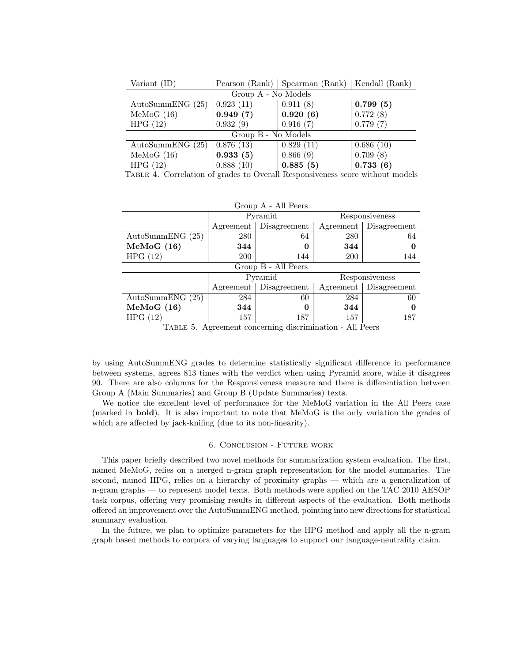| Variant $(ID)$      | Pearson (Rank)   Spearman (Rank)   Kendall (Rank) |           |           |  |  |
|---------------------|---------------------------------------------------|-----------|-----------|--|--|
| Group A - No Models |                                                   |           |           |  |  |
| AutoSummENG $(25)$  | 0.923(11)                                         | 0.911(8)  | 0.799(5)  |  |  |
| MeMoG(16)           | 0.949(7)                                          | 0.920(6)  | 0.772(8)  |  |  |
| HPG(12)             | 0.932(9)                                          | 0.916(7)  | 0.779(7)  |  |  |
| Group B - No Models |                                                   |           |           |  |  |
| AutoSummENG $(25)$  | 0.876(13)                                         | 0.829(11) | 0.686(10) |  |  |
| MeMoG(16)           | 0.933(5)                                          | 0.866(9)  | 0.709(8)  |  |  |
| HPG(12)             | 0.888(10)                                         | 0.885(5)  | 0.733(6)  |  |  |

<span id="page-9-1"></span>Table 4. Correlation of grades to Overall Responsiveness score without models

| Group A - All Peers                                                |                          |              |                |                        |  |
|--------------------------------------------------------------------|--------------------------|--------------|----------------|------------------------|--|
|                                                                    | Pyramid                  |              | Responsiveness |                        |  |
|                                                                    | Agreement   Disagreement |              |                | Agreement Disagreement |  |
| AutoSummENG $(25)$                                                 | 280                      | 64           | 280            | 64                     |  |
| MeMoG (16)                                                         | 344                      | $\theta$     | 344            | 0                      |  |
| HPG(12)                                                            | 200                      | 144          | <b>200</b>     | 144                    |  |
| Group B - All Peers                                                |                          |              |                |                        |  |
|                                                                    | Pyramid                  |              |                | Responsiveness         |  |
|                                                                    | Agreement                | Disagreement |                | Agreement Disagreement |  |
| AutoSummENG $(25)$                                                 | 284                      | 60           | 284            | 60                     |  |
| MeMoG (16)                                                         | 344                      | 0            | 344            | 0                      |  |
| HPG(12)                                                            | 157                      | 187          | 157            | 187                    |  |
| $T_{\text{ADID}}$ 5 A grooment concerning discrimination All Deeps |                          |              |                |                        |  |

<span id="page-9-2"></span>Table 5. Agreement concerning discrimination - All Peers

by using AutoSummENG grades to determine statistically significant difference in performance between systems, agrees 813 times with the verdict when using Pyramid score, while it disagrees 90. There are also columns for the Responsiveness measure and there is differentiation between Group A (Main Summaries) and Group B (Update Summaries) texts.

We notice the excellent level of performance for the MeMoG variation in the All Peers case (marked in bold). It is also important to note that MeMoG is the only variation the grades of which are affected by jack-knifing (due to its non-linearity).

## 6. Conclusion - Future work

<span id="page-9-0"></span>This paper briefly described two novel methods for summarization system evaluation. The first, named MeMoG, relies on a merged n-gram graph representation for the model summaries. The second, named HPG, relies on a hierarchy of proximity graphs — which are a generalization of n-gram graphs — to represent model texts. Both methods were applied on the TAC 2010 AESOP task corpus, offering very promising results in different aspects of the evaluation. Both methods offered an improvement over the AutoSummENG method, pointing into new directions for statistical summary evaluation.

In the future, we plan to optimize parameters for the HPG method and apply all the n-gram graph based methods to corpora of varying languages to support our language-neutrality claim.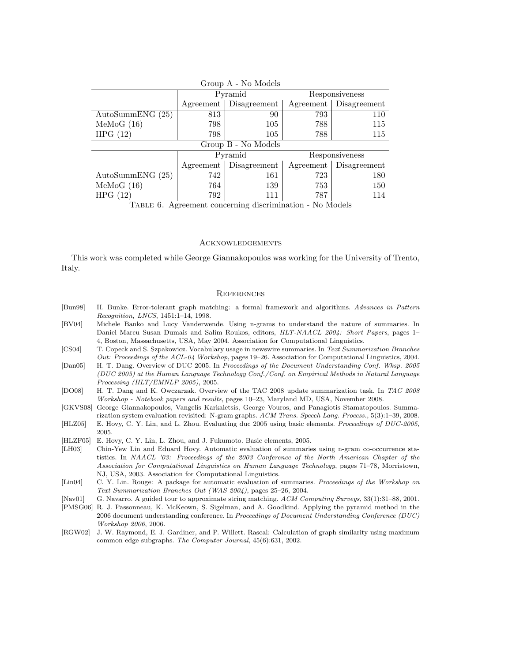| $A = 110$ Models                                                                                     |         |                                                     |                |     |  |
|------------------------------------------------------------------------------------------------------|---------|-----------------------------------------------------|----------------|-----|--|
|                                                                                                      | Pyramid |                                                     | Responsiveness |     |  |
|                                                                                                      |         | Agreement   Disagreement   Agreement   Disagreement |                |     |  |
| AutoSummENG (25)                                                                                     | 813     | 90                                                  | 793            | 110 |  |
| MeMoG(16)                                                                                            | 798     | 105                                                 | 788            | 115 |  |
| HPG(12)                                                                                              | 798     | 105                                                 | 788            | 115 |  |
| Group B - No Models                                                                                  |         |                                                     |                |     |  |
|                                                                                                      | Pyramid |                                                     | Responsiveness |     |  |
|                                                                                                      |         | Agreement   Disagreement   Agreement   Disagreement |                |     |  |
| AutoSummENG (25)                                                                                     | 742     | 161                                                 | 723            | 180 |  |
| MeMoG(16)                                                                                            | 764     | 139                                                 | 753            | 150 |  |
| HPG(12)                                                                                              | 792     | 111                                                 | 787            | 114 |  |
| $\mathbf{A}$ $\mathbf{A}$ $\mathbf{A}$<br>$\mathbf{1}$<br>$\mathbf{m} \cdot \mathbf{m} = \mathbf{0}$ |         |                                                     |                |     |  |

Group A - No Models

<span id="page-10-13"></span>Table 6. Agreement concerning discrimination - No Models

### Acknowledgements

This work was completed while George Giannakopoulos was working for the University of Trento, Italy.

### **REFERENCES**

- <span id="page-10-8"></span>[Bun98] H. Bunke. Error-tolerant graph matching: a formal framework and algorithms. Advances in Pattern Recognition, LNCS, 1451:1–14, 1998.
- <span id="page-10-4"></span>[BV04] Michele Banko and Lucy Vanderwende. Using n-grams to understand the nature of summaries. In Daniel Marcu Susan Dumais and Salim Roukos, editors, HLT-NAACL 2004: Short Papers, pages 1– 4, Boston, Massachusetts, USA, May 2004. Association for Computational Linguistics.
- <span id="page-10-6"></span>[CS04] T. Copeck and S. Szpakowicz. Vocabulary usage in newswire summaries. In Text Summarization Branches Out: Proceedings of the ACL-04 Workshop, pages 19–26. Association for Computational Linguistics, 2004.
- <span id="page-10-2"></span>[Dan05] H. T. Dang. Overview of DUC 2005. In Proceedings of the Document Understanding Conf. Wksp. 2005 (DUC 2005) at the Human Language Technology Conf./Conf. on Empirical Methods in Natural Language Processing (HLT/EMNLP 2005), 2005.
- <span id="page-10-12"></span>[DO08] H. T. Dang and K. Owczarzak. Overview of the TAC 2008 update summarization task. In TAC 2008 Workshop - Notebook papers and results, pages 10–23, Maryland MD, USA, November 2008.
- <span id="page-10-3"></span>[GKVS08] George Giannakopoulos, Vangelis Karkaletsis, George Vouros, and Panagiotis Stamatopoulos. Summarization system evaluation revisited: N-gram graphs. ACM Trans. Speech Lang. Process., 5(3):1–39, 2008.
- <span id="page-10-7"></span>[HLZ05] E. Hovy, C. Y. Lin, and L. Zhou. Evaluating duc 2005 using basic elements. Proceedings of DUC-2005, 2005.
- <span id="page-10-0"></span>[HLZF05] E. Hovy, C. Y. Lin, L. Zhou, and J. Fukumoto. Basic elements, 2005.
- <span id="page-10-5"></span>[LH03] Chin-Yew Lin and Eduard Hovy. Automatic evaluation of summaries using n-gram co-occurrence statistics. In NAACL '03: Proceedings of the 2003 Conference of the North American Chapter of the Association for Computational Linguistics on Human Language Technology, pages 71–78, Morristown, NJ, USA, 2003. Association for Computational Linguistics.
- <span id="page-10-1"></span>[Lin04] C. Y. Lin. Rouge: A package for automatic evaluation of summaries. Proceedings of the Workshop on Text Summarization Branches Out (WAS 2004), pages 25–26, 2004.
- <span id="page-10-10"></span>[Nav01] G. Navarro. A guided tour to approximate string matching. ACM Computing Surveys, 33(1):31–88, 2001.
- <span id="page-10-11"></span>[PMSG06] R. J. Passonneau, K. McKeown, S. Sigelman, and A. Goodkind. Applying the pyramid method in the 2006 document understanding conference. In Proceedings of Document Understanding Conference (DUC) Workshop 2006, 2006.
- <span id="page-10-9"></span>[RGW02] J. W. Raymond, E. J. Gardiner, and P. Willett. Rascal: Calculation of graph similarity using maximum common edge subgraphs. The Computer Journal, 45(6):631, 2002.